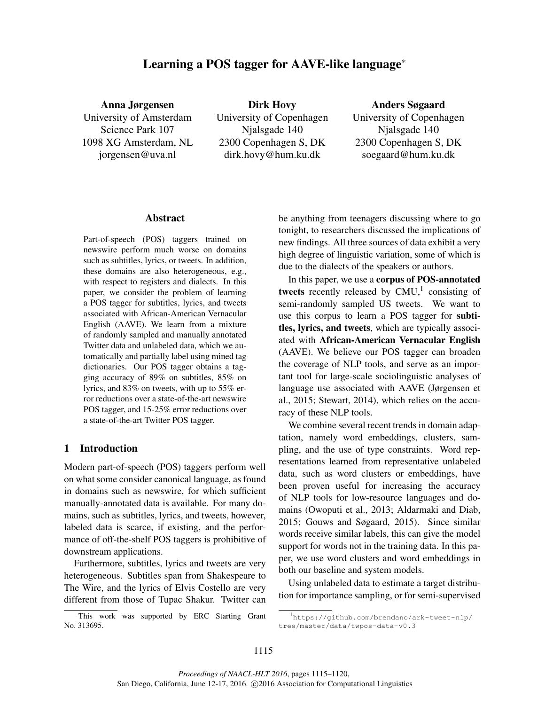# Learning a POS tagger for AAVE-like language<sup>∗</sup>

Anna Jørgensen University of Amsterdam Science Park 107 1098 XG Amsterdam, NL jorgensen@uva.nl

Dirk Hovy University of Copenhagen Njalsgade 140 2300 Copenhagen S, DK dirk.hovy@hum.ku.dk

# Anders Søgaard

University of Copenhagen Njalsgade 140 2300 Copenhagen S, DK soegaard@hum.ku.dk

#### Abstract

Part-of-speech (POS) taggers trained on newswire perform much worse on domains such as subtitles, lyrics, or tweets. In addition, these domains are also heterogeneous, e.g., with respect to registers and dialects. In this paper, we consider the problem of learning a POS tagger for subtitles, lyrics, and tweets associated with African-American Vernacular English (AAVE). We learn from a mixture of randomly sampled and manually annotated Twitter data and unlabeled data, which we automatically and partially label using mined tag dictionaries. Our POS tagger obtains a tagging accuracy of 89% on subtitles, 85% on lyrics, and 83% on tweets, with up to 55% error reductions over a state-of-the-art newswire POS tagger, and 15-25% error reductions over a state-of-the-art Twitter POS tagger.

## 1 Introduction

Modern part-of-speech (POS) taggers perform well on what some consider canonical language, as found in domains such as newswire, for which sufficient manually-annotated data is available. For many domains, such as subtitles, lyrics, and tweets, however, labeled data is scarce, if existing, and the performance of off-the-shelf POS taggers is prohibitive of downstream applications.

Furthermore, subtitles, lyrics and tweets are very heterogeneous. Subtitles span from Shakespeare to The Wire, and the lyrics of Elvis Costello are very different from those of Tupac Shakur. Twitter can be anything from teenagers discussing where to go tonight, to researchers discussed the implications of new findings. All three sources of data exhibit a very high degree of linguistic variation, some of which is due to the dialects of the speakers or authors.

In this paper, we use a corpus of POS-annotated tweets recently released by  $CMU<sup>1</sup>$  consisting of semi-randomly sampled US tweets. We want to use this corpus to learn a POS tagger for subtitles, lyrics, and tweets, which are typically associated with African-American Vernacular English (AAVE). We believe our POS tagger can broaden the coverage of NLP tools, and serve as an important tool for large-scale sociolinguistic analyses of language use associated with AAVE (Jørgensen et al., 2015; Stewart, 2014), which relies on the accuracy of these NLP tools.

We combine several recent trends in domain adaptation, namely word embeddings, clusters, sampling, and the use of type constraints. Word representations learned from representative unlabeled data, such as word clusters or embeddings, have been proven useful for increasing the accuracy of NLP tools for low-resource languages and domains (Owoputi et al., 2013; Aldarmaki and Diab, 2015; Gouws and Søgaard, 2015). Since similar words receive similar labels, this can give the model support for words not in the training data. In this paper, we use word clusters and word embeddings in both our baseline and system models.

Using unlabeled data to estimate a target distribution for importance sampling, or for semi-supervised

This work was supported by ERC Starting Grant No. 313695.

<sup>1</sup> https://github.com/brendano/ark-tweet-nlp/ tree/master/data/twpos-data-v0.3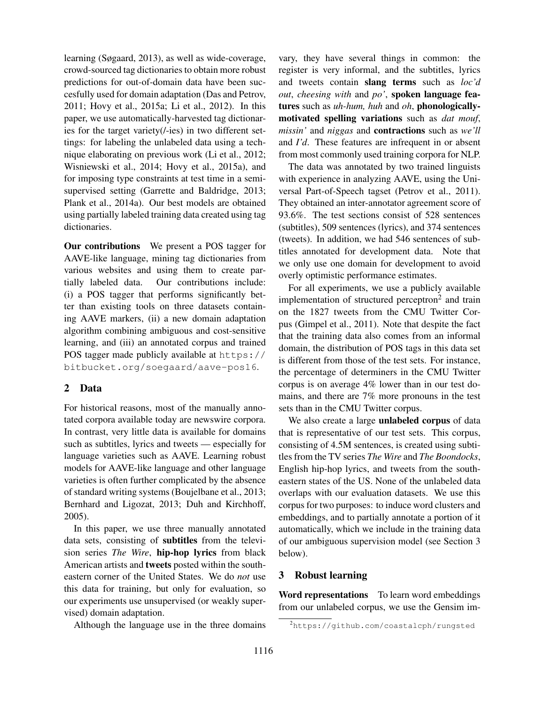learning (Søgaard, 2013), as well as wide-coverage, crowd-sourced tag dictionaries to obtain more robust predictions for out-of-domain data have been succesfully used for domain adaptation (Das and Petrov, 2011; Hovy et al., 2015a; Li et al., 2012). In this paper, we use automatically-harvested tag dictionaries for the target variety(/-ies) in two different settings: for labeling the unlabeled data using a technique elaborating on previous work (Li et al., 2012; Wisniewski et al., 2014; Hovy et al., 2015a), and for imposing type constraints at test time in a semisupervised setting (Garrette and Baldridge, 2013; Plank et al., 2014a). Our best models are obtained using partially labeled training data created using tag dictionaries.

Our contributions We present a POS tagger for AAVE-like language, mining tag dictionaries from various websites and using them to create partially labeled data. Our contributions include: (i) a POS tagger that performs significantly better than existing tools on three datasets containing AAVE markers, (ii) a new domain adaptation algorithm combining ambiguous and cost-sensitive learning, and (iii) an annotated corpus and trained POS tagger made publicly available at https:// bitbucket.org/soegaard/aave-pos16.

# 2 Data

For historical reasons, most of the manually annotated corpora available today are newswire corpora. In contrast, very little data is available for domains such as subtitles, lyrics and tweets — especially for language varieties such as AAVE. Learning robust models for AAVE-like language and other language varieties is often further complicated by the absence of standard writing systems (Boujelbane et al., 2013; Bernhard and Ligozat, 2013; Duh and Kirchhoff, 2005).

In this paper, we use three manually annotated data sets, consisting of subtitles from the television series *The Wire*, hip-hop lyrics from black American artists and tweets posted within the southeastern corner of the United States. We do *not* use this data for training, but only for evaluation, so our experiments use unsupervised (or weakly supervised) domain adaptation.

Although the language use in the three domains

vary, they have several things in common: the register is very informal, and the subtitles, lyrics and tweets contain slang terms such as *loc'd out*, *cheesing with* and *po'*, spoken language features such as *uh-hum, huh* and *oh*, phonologicallymotivated spelling variations such as *dat mouf*, *missin'* and *niggas* and contractions such as *we'll* and *I'd*. These features are infrequent in or absent from most commonly used training corpora for NLP.

The data was annotated by two trained linguists with experience in analyzing AAVE, using the Universal Part-of-Speech tagset (Petrov et al., 2011). They obtained an inter-annotator agreement score of 93.6%. The test sections consist of 528 sentences (subtitles), 509 sentences (lyrics), and 374 sentences (tweets). In addition, we had 546 sentences of subtitles annotated for development data. Note that we only use one domain for development to avoid overly optimistic performance estimates.

For all experiments, we use a publicly available implementation of structured perceptron<sup>2</sup> and train on the 1827 tweets from the CMU Twitter Corpus (Gimpel et al., 2011). Note that despite the fact that the training data also comes from an informal domain, the distribution of POS tags in this data set is different from those of the test sets. For instance, the percentage of determiners in the CMU Twitter corpus is on average 4% lower than in our test domains, and there are 7% more pronouns in the test sets than in the CMU Twitter corpus.

We also create a large unlabeled corpus of data that is representative of our test sets. This corpus, consisting of 4.5M sentences, is created using subtitles from the TV series *The Wire* and *The Boondocks*, English hip-hop lyrics, and tweets from the southeastern states of the US. None of the unlabeled data overlaps with our evaluation datasets. We use this corpus for two purposes: to induce word clusters and embeddings, and to partially annotate a portion of it automatically, which we include in the training data of our ambiguous supervision model (see Section 3 below).

# 3 Robust learning

Word representations To learn word embeddings from our unlabeled corpus, we use the Gensim im-

<sup>2</sup>https://github.com/coastalcph/rungsted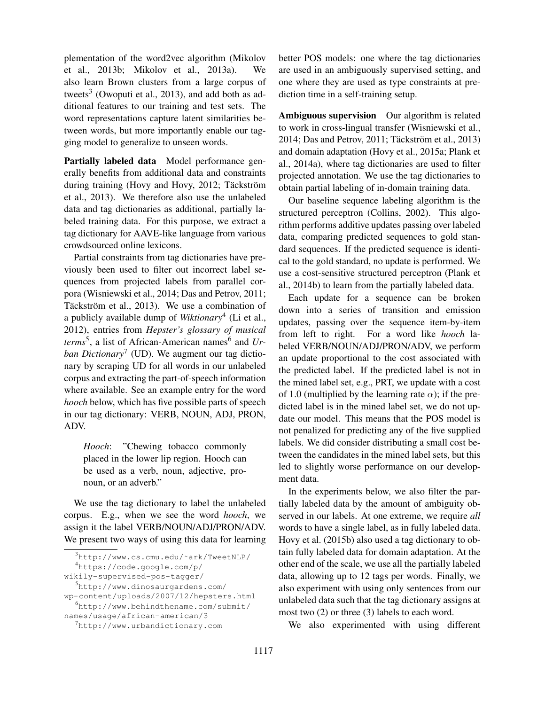plementation of the word2vec algorithm (Mikolov et al., 2013b; Mikolov et al., 2013a). We also learn Brown clusters from a large corpus of tweets<sup>3</sup> (Owoputi et al., 2013), and add both as additional features to our training and test sets. The word representations capture latent similarities between words, but more importantly enable our tagging model to generalize to unseen words.

Partially labeled data Model performance generally benefits from additional data and constraints during training (Hovy and Hovy, 2012; Täckström et al., 2013). We therefore also use the unlabeled data and tag dictionaries as additional, partially labeled training data. For this purpose, we extract a tag dictionary for AAVE-like language from various crowdsourced online lexicons.

Partial constraints from tag dictionaries have previously been used to filter out incorrect label sequences from projected labels from parallel corpora (Wisniewski et al., 2014; Das and Petrov, 2011; Täckström et al., 2013). We use a combination of a publicly available dump of *Wiktionary*<sup>4</sup> (Li et al., 2012), entries from *Hepster's glossary of musical terms*<sup>5</sup>, a list of African-American names<sup>6</sup> and *Urban Dictionary*<sup>7</sup> (UD). We augment our tag dictionary by scraping UD for all words in our unlabeled corpus and extracting the part-of-speech information where available. See an example entry for the word *hooch* below, which has five possible parts of speech in our tag dictionary: VERB, NOUN, ADJ, PRON, ADV.

*Hooch*: "Chewing tobacco commonly placed in the lower lip region. Hooch can be used as a verb, noun, adjective, pronoun, or an adverb."

We use the tag dictionary to label the unlabeled corpus. E.g., when we see the word *hooch*, we assign it the label VERB/NOUN/ADJ/PRON/ADV. We present two ways of using this data for learning

<sup>4</sup>https://code.google.com/p/

better POS models: one where the tag dictionaries are used in an ambiguously supervised setting, and one where they are used as type constraints at prediction time in a self-training setup.

Ambiguous supervision Our algorithm is related to work in cross-lingual transfer (Wisniewski et al., 2014; Das and Petrov, 2011; Täckström et al., 2013) and domain adaptation (Hovy et al., 2015a; Plank et al., 2014a), where tag dictionaries are used to filter projected annotation. We use the tag dictionaries to obtain partial labeling of in-domain training data.

Our baseline sequence labeling algorithm is the structured perceptron (Collins, 2002). This algorithm performs additive updates passing over labeled data, comparing predicted sequences to gold standard sequences. If the predicted sequence is identical to the gold standard, no update is performed. We use a cost-sensitive structured perceptron (Plank et al., 2014b) to learn from the partially labeled data.

Each update for a sequence can be broken down into a series of transition and emission updates, passing over the sequence item-by-item from left to right. For a word like *hooch* labeled VERB/NOUN/ADJ/PRON/ADV, we perform an update proportional to the cost associated with the predicted label. If the predicted label is not in the mined label set, e.g., PRT, we update with a cost of 1.0 (multiplied by the learning rate  $\alpha$ ); if the predicted label is in the mined label set, we do not update our model. This means that the POS model is not penalized for predicting any of the five supplied labels. We did consider distributing a small cost between the candidates in the mined label sets, but this led to slightly worse performance on our development data.

In the experiments below, we also filter the partially labeled data by the amount of ambiguity observed in our labels. At one extreme, we require *all* words to have a single label, as in fully labeled data. Hovy et al. (2015b) also used a tag dictionary to obtain fully labeled data for domain adaptation. At the other end of the scale, we use all the partially labeled data, allowing up to 12 tags per words. Finally, we also experiment with using only sentences from our unlabeled data such that the tag dictionary assigns at most two (2) or three (3) labels to each word.

We also experimented with using different

 $3$ http://www.cs.cmu.edu/~ark/TweetNLP/

wikily-supervised-pos-tagger/ <sup>5</sup>http://www.dinosaurgardens.com/

wp-content/uploads/2007/12/hepsters.html <sup>6</sup>http://www.behindthename.com/submit/

names/usage/african-american/3

<sup>7</sup>http://www.urbandictionary.com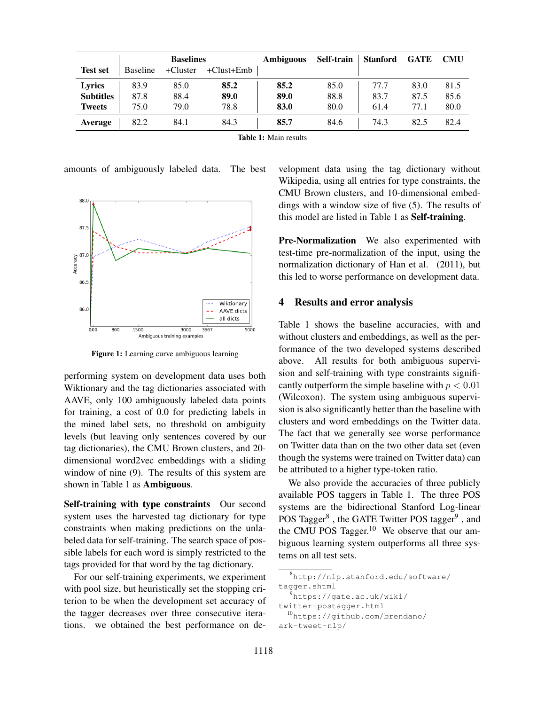|                  |          | <b>Baselines</b> |            | <b>Ambiguous</b> | Self-train | <b>Stanford</b> | <b>GATE</b> | <b>CMU</b> |
|------------------|----------|------------------|------------|------------------|------------|-----------------|-------------|------------|
| <b>Test set</b>  | Baseline | +Cluster         | +Clust+Emb |                  |            |                 |             |            |
| Lyrics           | 83.9     | 85.0             | 85.2       | 85.2             | 85.0       | 77.7            | 83.0        | 81.5       |
| <b>Subtitles</b> | 87.8     | 88.4             | 89.0       | 89.0             | 88.8       | 83.7            | 87.5        | 85.6       |
| <b>Tweets</b>    | 75.0     | 79.0             | 78.8       | 83.0             | 80.0       | 61.4            | 77.1        | 80.0       |
| <b>Average</b>   | 82.2     | 84.1             | 84.3       | 85.7             | 84.6       | 74.3            | 82.5        | 82.4       |

Table 1: Main results

amounts of ambiguously labeled data. The best



Figure 1: Learning curve ambiguous learning

performing system on development data uses both Wiktionary and the tag dictionaries associated with AAVE, only 100 ambiguously labeled data points for training, a cost of 0.0 for predicting labels in the mined label sets, no threshold on ambiguity levels (but leaving only sentences covered by our tag dictionaries), the CMU Brown clusters, and 20 dimensional word2vec embeddings with a sliding window of nine (9). The results of this system are shown in Table 1 as **Ambiguous**.

Self-training with type constraints Our second system uses the harvested tag dictionary for type constraints when making predictions on the unlabeled data for self-training. The search space of possible labels for each word is simply restricted to the tags provided for that word by the tag dictionary.

For our self-training experiments, we experiment with pool size, but heuristically set the stopping criterion to be when the development set accuracy of the tagger decreases over three consecutive iterations. we obtained the best performance on development data using the tag dictionary without Wikipedia, using all entries for type constraints, the CMU Brown clusters, and 10-dimensional embeddings with a window size of five (5). The results of this model are listed in Table 1 as Self-training.

Pre-Normalization We also experimented with test-time pre-normalization of the input, using the normalization dictionary of Han et al. (2011), but this led to worse performance on development data.

#### 4 Results and error analysis

Table 1 shows the baseline accuracies, with and without clusters and embeddings, as well as the performance of the two developed systems described above. All results for both ambiguous supervision and self-training with type constraints significantly outperform the simple baseline with  $p < 0.01$ (Wilcoxon). The system using ambiguous supervision is also significantly better than the baseline with clusters and word embeddings on the Twitter data. The fact that we generally see worse performance on Twitter data than on the two other data set (even though the systems were trained on Twitter data) can be attributed to a higher type-token ratio.

We also provide the accuracies of three publicly available POS taggers in Table 1. The three POS systems are the bidirectional Stanford Log-linear POS Tagger<sup>8</sup>, the GATE Twitter POS tagger<sup>9</sup>, and the CMU POS Tagger.<sup>10</sup> We observe that our ambiguous learning system outperforms all three systems on all test sets.

<sup>8</sup>http://nlp.stanford.edu/software/ tagger.shtml

<sup>9</sup>https://gate.ac.uk/wiki/

twitter-postagger.html

<sup>10</sup>https://github.com/brendano/ ark-tweet-nlp/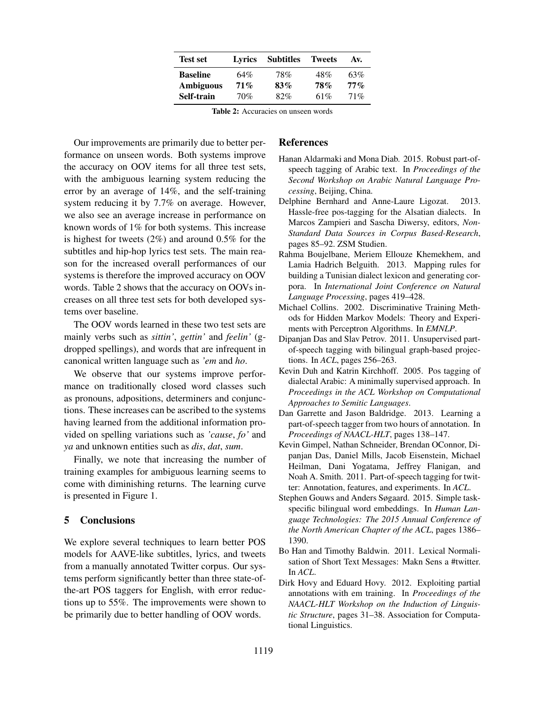| <b>Test set</b>  | Lyrics | <b>Subtitles</b> | <b>Tweets</b> | Av.    |
|------------------|--------|------------------|---------------|--------|
| <b>Baseline</b>  | 64%    | 78%              | 48%           | 63%    |
| <b>Ambiguous</b> | $71\%$ | 83%              | <b>78%</b>    | $77\%$ |
| Self-train       | 70%    | 82%              | 61%           | 71%    |

Table 2: Accuracies on unseen words

Our improvements are primarily due to better performance on unseen words. Both systems improve the accuracy on OOV items for all three test sets, with the ambiguous learning system reducing the error by an average of 14%, and the self-training system reducing it by 7.7% on average. However, we also see an average increase in performance on known words of 1% for both systems. This increase is highest for tweets  $(2\%)$  and around 0.5% for the subtitles and hip-hop lyrics test sets. The main reason for the increased overall performances of our systems is therefore the improved accuracy on OOV words. Table 2 shows that the accuracy on OOVs increases on all three test sets for both developed systems over baseline.

The OOV words learned in these two test sets are mainly verbs such as *sittin'*, *gettin'* and *feelin'* (gdropped spellings), and words that are infrequent in canonical written language such as *'em* and *ho*.

We observe that our systems improve performance on traditionally closed word classes such as pronouns, adpositions, determiners and conjunctions. These increases can be ascribed to the systems having learned from the additional information provided on spelling variations such as *'cause*, *fo'* and *ya* and unknown entities such as *dis*, *dat*, *sum*.

Finally, we note that increasing the number of training examples for ambiguous learning seems to come with diminishing returns. The learning curve is presented in Figure 1.

### 5 Conclusions

We explore several techniques to learn better POS models for AAVE-like subtitles, lyrics, and tweets from a manually annotated Twitter corpus. Our systems perform significantly better than three state-ofthe-art POS taggers for English, with error reductions up to 55%. The improvements were shown to be primarily due to better handling of OOV words.

## References

- Hanan Aldarmaki and Mona Diab. 2015. Robust part-ofspeech tagging of Arabic text. In *Proceedings of the Second Workshop on Arabic Natural Language Processing*, Beijing, China.
- Delphine Bernhard and Anne-Laure Ligozat. 2013. Hassle-free pos-tagging for the Alsatian dialects. In Marcos Zampieri and Sascha Diwersy, editors, *Non-Standard Data Sources in Corpus Based-Research*, pages 85–92. ZSM Studien.
- Rahma Boujelbane, Meriem Ellouze Khemekhem, and Lamia Hadrich Belguith. 2013. Mapping rules for building a Tunisian dialect lexicon and generating corpora. In *International Joint Conference on Natural Language Processing*, pages 419–428.
- Michael Collins. 2002. Discriminative Training Methods for Hidden Markov Models: Theory and Experiments with Perceptron Algorithms. In *EMNLP*.
- Dipanjan Das and Slav Petrov. 2011. Unsupervised partof-speech tagging with bilingual graph-based projections. In *ACL*, pages 256–263.
- Kevin Duh and Katrin Kirchhoff. 2005. Pos tagging of dialectal Arabic: A minimally supervised approach. In *Proceedings in the ACL Workshop on Computational Approaches to Semitic Languages*.
- Dan Garrette and Jason Baldridge. 2013. Learning a part-of-speech tagger from two hours of annotation. In *Proceedings of NAACL-HLT*, pages 138–147.
- Kevin Gimpel, Nathan Schneider, Brendan OConnor, Dipanjan Das, Daniel Mills, Jacob Eisenstein, Michael Heilman, Dani Yogatama, Jeffrey Flanigan, and Noah A. Smith. 2011. Part-of-speech tagging for twitter: Annotation, features, and experiments. In *ACL*.
- Stephen Gouws and Anders Søgaard. 2015. Simple taskspecific bilingual word embeddings. In *Human Language Technologies: The 2015 Annual Conference of the North American Chapter of the ACL*, pages 1386– 1390.
- Bo Han and Timothy Baldwin. 2011. Lexical Normalisation of Short Text Messages: Makn Sens a #twitter. In *ACL*.
- Dirk Hovy and Eduard Hovy. 2012. Exploiting partial annotations with em training. In *Proceedings of the NAACL-HLT Workshop on the Induction of Linguistic Structure*, pages 31–38. Association for Computational Linguistics.